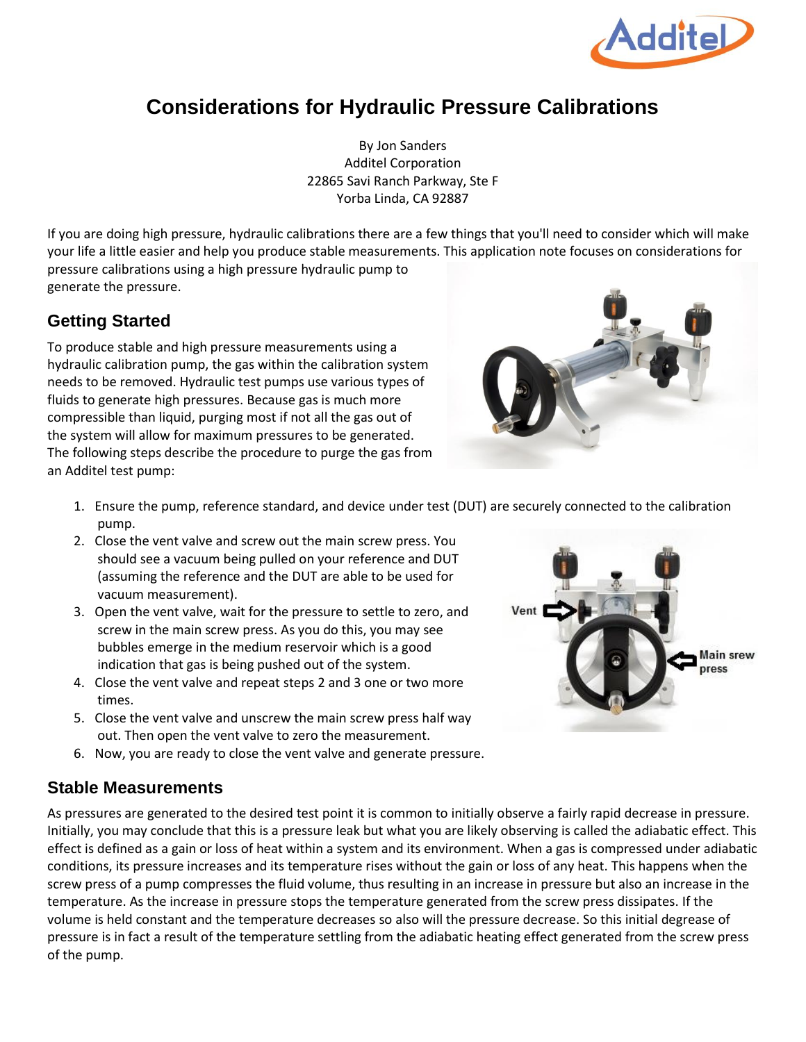

## **Considerations for Hydraulic Pressure Calibrations**

By Jon Sanders Additel Corporation 22865 Savi Ranch Parkway, Ste F Yorba Linda, CA 92887

If you are doing high pressure, hydraulic calibrations there are a few things that you'll need to consider which will make your life a little easier and help you produce stable measurements. This application note focuses on considerations for pressure calibrations using a high pressure hydraulic pump to generate the pressure.

## **Getting Started**

To produce stable and high pressure measurements using a hydraulic calibration pump, the gas within the calibration system needs to be removed. Hydraulic test pumps use various types of fluids to generate high pressures. Because gas is much more compressible than liquid, purging most if not all the gas out of the system will allow for maximum pressures to be generated. The following steps describe the procedure to purge the gas from an Additel test pump:



- 1. Ensure the pump, reference standard, and device under test (DUT) are securely connected to the calibration pump.
- 2. Close the vent valve and screw out the main screw press. You should see a vacuum being pulled on your reference and DUT (assuming the reference and the DUT are able to be used for vacuum measurement).
- 3. Open the vent valve, wait for the pressure to settle to zero, and screw in the main screw press. As you do this, you may see bubbles emerge in the medium reservoir which is a good indication that gas is being pushed out of the system.
- 4. Close the vent valve and repeat steps 2 and 3 one or two more times.
- 5. Close the vent valve and unscrew the main screw press half way out. Then open the vent valve to zero the measurement.
- 6. Now, you are ready to close the vent valve and generate pressure.

## **Stable Measurements**

As pressures are generated to the desired test point it is common to initially observe a fairly rapid decrease in pressure. Initially, you may conclude that this is a pressure leak but what you are likely observing is called the adiabatic effect. This effect is defined as a gain or loss of heat within a system and its environment. When a gas is compressed under adiabatic conditions, its pressure increases and its temperature rises without the gain or loss of any heat. This happens when the screw press of a pump compresses the fluid volume, thus resulting in an increase in pressure but also an increase in the temperature. As the increase in pressure stops the temperature generated from the screw press dissipates. If the volume is held constant and the temperature decreases so also will the pressure decrease. So this initial degrease of pressure is in fact a result of the temperature settling from the adiabatic heating effect generated from the screw press of the pump.